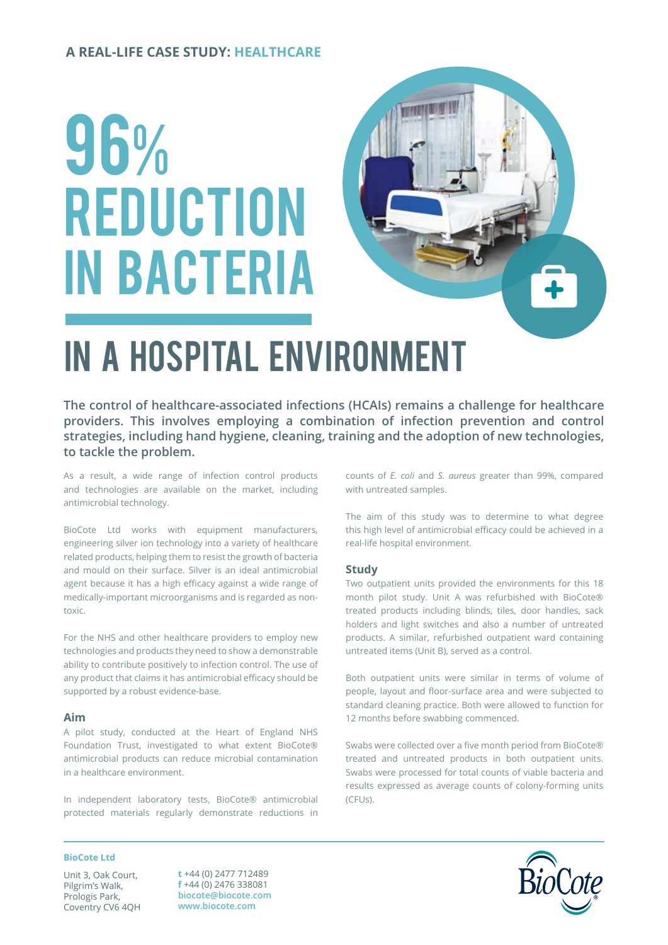### **A REAL-LIFE CASE STUDY: HEALTHCARE**

# 96% **REDUCTION** in bacteria



# in a HOSPITAL environment

**The control of healthcare-associated infections (HCAIs) remains a challenge for healthcare providers. This involves employing a combination of infection prevention and control strategies, including hand hygiene, cleaning, training and the adoption of new technologies, to tackle the problem.**

As a result, a wide range of infection control products and technologies are available on the market, including antimicrobial technology.

BioCote Ltd works with equipment manufacturers, engineering silver ion technology into a variety of healthcare related products, helping them to resist the growth of bacteria and mould on their surface. Silver is an ideal antimicrobial agent because it has a high efficacy against a wide range of medically-important microorganisms and is regarded as nontoxic.

For the NHS and other healthcare providers to employ new technologies and products they need to show a demonstrable ability to contribute positively to infection control. The use of any product that claims it has antimicrobial efficacy should be supported by a robust evidence-base.

#### **Aim**

A pilot study, conducted at the Heart of England NHS Foundation Trust, investigated to what extent BioCote® antimicrobial products can reduce microbial contamination in a healthcare environment.

In independent laboratory tests, BioCote® antimicrobial protected materials regularly demonstrate reductions in counts of *E. coli* and *S. aureus* greater than 99%, compared with untreated samples.

The aim of this study was to determine to what degree this high level of antimicrobial efficacy could be achieved in a real-life hospital environment.

#### **Study**

Two outpatient units provided the environments for this 18 month pilot study. Unit A was refurbished with BioCote® treated products including blinds, tiles, door handles, sack holders and light switches and also a number of untreated products. A similar, refurbished outpatient ward containing untreated items (Unit B), served as a control.

Both outpatient units were similar in terms of volume of people, layout and floor-surface area and were subjected to standard cleaning practice. Both were allowed to function for 12 months before swabbing commenced.

Swabs were collected over a five month period from BioCote® treated and untreated products in both outpatient units. Swabs were processed for total counts of viable bacteria and results expressed as average counts of colony-forming units (CFUs).

#### **BioCote Ltd**

Unit 3, Oak Court, Pilgrim's Walk, Prologis Park, Coventry CV6 4QH

**t** +44 (0) 2477 712489 **f** +44 (0) 2476 338081 **biocote@biocote.com www.biocote.com**